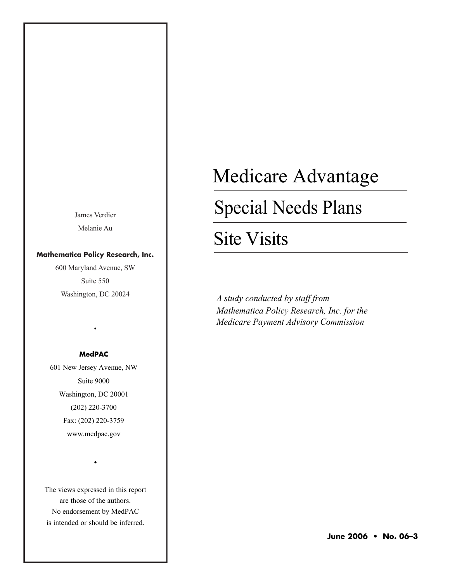James Verdier Melanie Au

# **Mathematica Policy Research, Inc.**

600 Maryland Avenue, SW Suite 550 Washington, DC 20024

# **MedPAC**

•

601 New Jersey Avenue, NW Suite 9000 Washington, DC 20001 (202) 220-3700 Fax: (202) 220-3759 www.medpac.gov

The views expressed in this report are those of the authors. No endorsement by MedPAC is intended or should be inferred.

•

# Medicare Advantage

# Special Needs Plans

# Site Visits

*A study conducted by staff from Mathematica Policy Research, Inc. for the Medicare Payment Advisory Commission*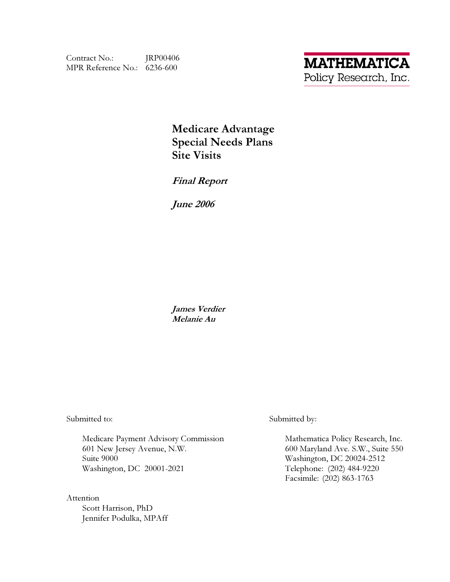Contract No.: JRP00406 MPR Reference No.: 6236-600

**Medicare Advantage Special Needs Plans Site Visits** 

**Final Report** 

**June 2006** 

James Verdier Melanie Au

Submitted to:

Medicare Payment Advisory Commission 601 New Jersey Avenue, N.W. Suite 9000 Washington, DC 20001-2021

Attention Scott Harrison, PhD Jennifer Podulka, MPAff Submitted by:

Mathematica Policy Research, Inc. 600 Maryland Ave. S.W., Suite 550 Washington, DC 20024-2512 Telephone: (202) 484-9220 Facsimile: (202) 863-1763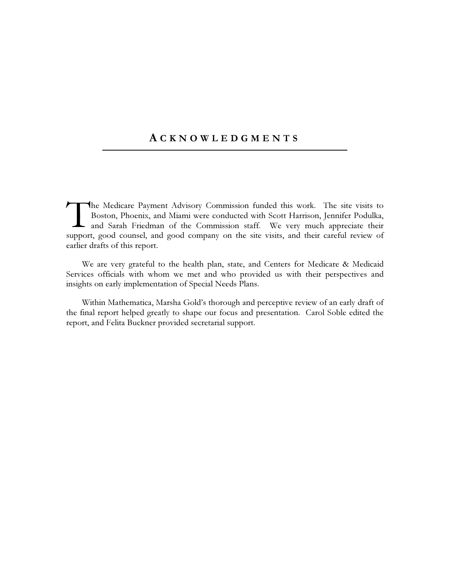# **ACKNOWLEDGMENTS**

The Medicare Payment Advisory Commission funded this work. The site visits to Boston, Phoenix, and Miami were conducted with Scott Harrison, Jennifer Podulka, and Sarah Friedman of the Commission staff. We very much appreciate their support, good counsel, and good company on the site visits, and their careful review of earlier drafts of this report.

We are very grateful to the health plan, state, and Centers for Medicare & Medicaid Services officials with whom we met and who provided us with their perspectives and insights on early implementation of Special Needs Plans.

Within Mathematica, Marsha Gold's thorough and perceptive review of an early draft of the final report helped greatly to shape our focus and presentation. Carol Soble edited the report, and Felita Buckner provided secretarial support.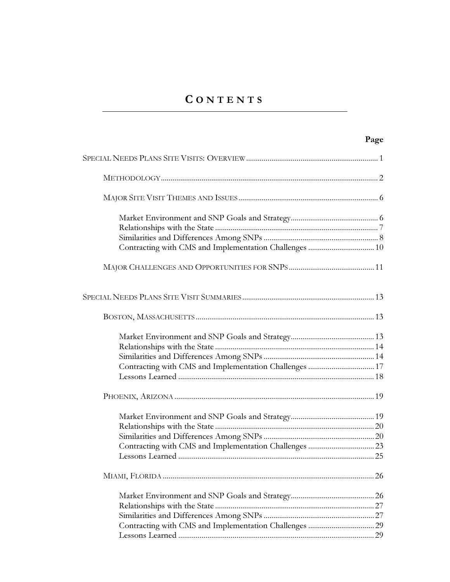# CONTENTS

| Contracting with CMS and Implementation Challenges  10 |    |
|--------------------------------------------------------|----|
|                                                        |    |
|                                                        |    |
|                                                        |    |
|                                                        |    |
|                                                        |    |
|                                                        |    |
| Contracting with CMS and Implementation Challenges  17 |    |
|                                                        |    |
|                                                        |    |
|                                                        |    |
|                                                        |    |
|                                                        |    |
|                                                        |    |
|                                                        |    |
|                                                        |    |
|                                                        |    |
|                                                        |    |
|                                                        |    |
|                                                        |    |
|                                                        | 29 |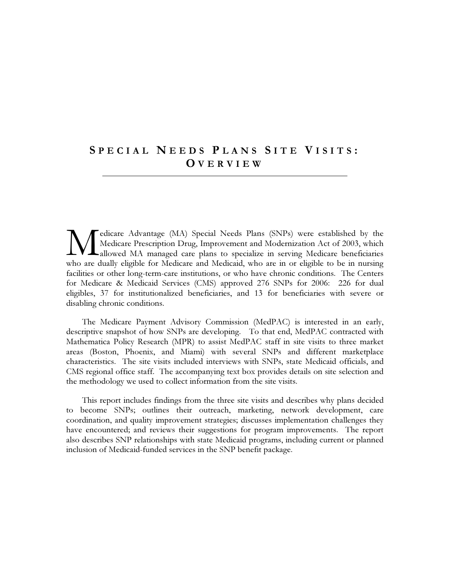# SPECIAL NEEDS PLANS SITE VISITS: OVERVIEW

edicare Advantage (MA) Special Needs Plans (SNPs) were established by the Medicare Prescription Drug, Improvement and Modernization Act of 2003, which allowed MA managed care plans to specialize in serving Medicare beneficiaries who are dually eligible for Medicare and Medicaid, who are in or eligible to be in nursing facilities or other long-term-care institutions, or who have chronic conditions. The Centers for Medicare & Medicaid Services (CMS) approved 276 SNPs for 2006: 226 for dual eligibles, 37 for institutionalized beneficiaries, and 13 for beneficiaries with severe or disabling chronic conditions.

The Medicare Payment Advisory Commission (MedPAC) is interested in an early, descriptive snapshot of how SNPs are developing. To that end, MedPAC contracted with Mathematica Policy Research (MPR) to assist MedPAC staff in site visits to three market areas (Boston, Phoenix, and Miami) with several SNPs and different marketplace characteristics. The site visits included interviews with SNPs, state Medicaid officials, and CMS regional office staff. The accompanying text box provides details on site selection and the methodology we used to collect information from the site visits.

This report includes findings from the three site visits and describes why plans decided to become SNPs; outlines their outreach, marketing, network development, care coordination, and quality improvement strategies; discusses implementation challenges they have encountered; and reviews their suggestions for program improvements. The report also describes SNP relationships with state Medicaid programs, including current or planned inclusion of Medicaid-funded services in the SNP benefit package.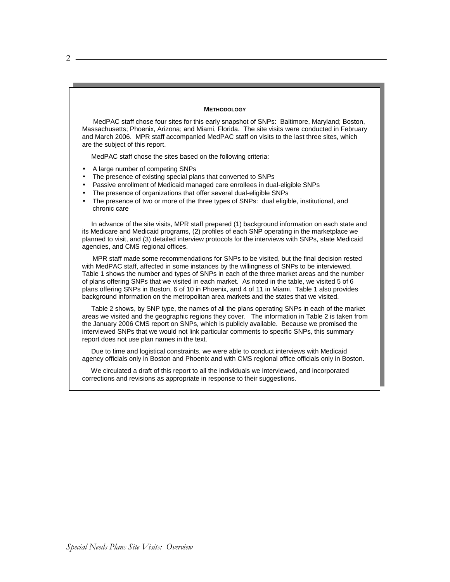#### **METHODOLOGY**

 MedPAC staff chose four sites for this early snapshot of SNPs: Baltimore, Maryland; Boston, Massachusetts; Phoenix, Arizona; and Miami, Florida. The site visits were conducted in February and March 2006. MPR staff accompanied MedPAC staff on visits to the last three sites, which are the subject of this report.

MedPAC staff chose the sites based on the following criteria:

- A large number of competing SNPs
- The presence of existing special plans that converted to SNPs
- Passive enrollment of Medicaid managed care enrollees in dual-eligible SNPs
- The presence of organizations that offer several dual-eligible SNPs
- The presence of two or more of the three types of SNPs: dual eligible, institutional, and chronic care

 In advance of the site visits, MPR staff prepared (1) background information on each state and its Medicare and Medicaid programs, (2) profiles of each SNP operating in the marketplace we planned to visit, and (3) detailed interview protocols for the interviews with SNPs, state Medicaid agencies, and CMS regional offices.

 MPR staff made some recommendations for SNPs to be visited, but the final decision rested with MedPAC staff, affected in some instances by the willingness of SNPs to be interviewed. Table 1 shows the number and types of SNPs in each of the three market areas and the number of plans offering SNPs that we visited in each market. As noted in the table, we visited 5 of 6 plans offering SNPs in Boston, 6 of 10 in Phoenix, and 4 of 11 in Miami. Table 1 also provides background information on the metropolitan area markets and the states that we visited.

 Table 2 shows, by SNP type, the names of all the plans operating SNPs in each of the market areas we visited and the geographic regions they cover. The information in Table 2 is taken from the January 2006 CMS report on SNPs, which is publicly available. Because we promised the interviewed SNPs that we would not link particular comments to specific SNPs, this summary report does not use plan names in the text.

 Due to time and logistical constraints, we were able to conduct interviews with Medicaid agency officials only in Boston and Phoenix and with CMS regional office officials only in Boston.

 We circulated a draft of this report to all the individuals we interviewed, and incorporated corrections and revisions as appropriate in response to their suggestions.

 $2 -$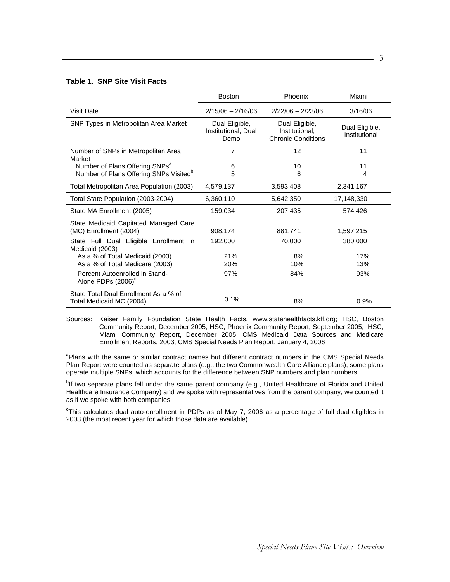# **Table 1. SNP Site Visit Facts**

|                                                                   | <b>Boston</b>                                 | Phoenix                                                       | Miami                           |
|-------------------------------------------------------------------|-----------------------------------------------|---------------------------------------------------------------|---------------------------------|
| <b>Visit Date</b>                                                 | $2/15/06 - 2/16/06$                           | $2/22/06 - 2/23/06$                                           | 3/16/06                         |
| SNP Types in Metropolitan Area Market                             | Dual Eligible,<br>Institutional, Dual<br>Demo | Dual Eligible,<br>Institutional.<br><b>Chronic Conditions</b> | Dual Eligible,<br>Institutional |
| Number of SNPs in Metropolitan Area<br>Market                     | 7                                             | 12                                                            | 11                              |
| Number of Plans Offering SNPs <sup>a</sup>                        | 6                                             | 10                                                            | 11                              |
| Number of Plans Offering SNPs Visited <sup>b</sup>                | 5                                             | 6                                                             | 4                               |
| Total Metropolitan Area Population (2003)                         | 4,579,137                                     | 3,593,408                                                     | 2,341,167                       |
| Total State Population (2003-2004)                                | 6,360,110                                     | 5,642,350                                                     | 17,148,330                      |
| State MA Enrollment (2005)                                        | 159,034                                       | 207,435                                                       | 574,426                         |
| State Medicaid Capitated Managed Care<br>(MC) Enrollment (2004)   | 908,174                                       | 881,741                                                       | 1,597,215                       |
| State Full Dual Eligible Enrollment in<br>Medicaid (2003)         | 192,000                                       | 70,000                                                        | 380,000                         |
| As a % of Total Medicaid (2003)                                   | 21%                                           | 8%                                                            | 17%                             |
| As a % of Total Medicare (2003)                                   | 20%                                           | 10%                                                           | 13%                             |
| Percent Autoenrolled in Stand-<br>Alone PDPs (2006) <sup>c</sup>  | 97%                                           | 84%                                                           | 93%                             |
| State Total Dual Enrollment As a % of<br>Total Medicaid MC (2004) | 0.1%                                          | 8%                                                            | 0.9%                            |

Sources: Kaiser Family Foundation State Health Facts, www.statehealthfacts.kff.org; HSC, Boston Community Report, December 2005; HSC, Phoenix Community Report, September 2005; HSC, Miami Community Report, December 2005; CMS Medicaid Data Sources and Medicare Enrollment Reports, 2003; CMS Special Needs Plan Report, January 4, 2006

<sup>a</sup>Plans with the same or similar contract names but different contract numbers in the CMS Special Needs Plan Report were counted as separate plans (e.g., the two Commonwealth Care Alliance plans); some plans operate multiple SNPs, which accounts for the difference between SNP numbers and plan numbers

<sup>b</sup>lf two separate plans fell under the same parent company (e.g., United Healthcare of Florida and United Healthcare Insurance Company) and we spoke with representatives from the parent company, we counted it as if we spoke with both companies

<sup>c</sup>This calculates dual auto-enrollment in PDPs as of May 7, 2006 as a percentage of full dual eligibles in 2003 (the most recent year for which those data are available)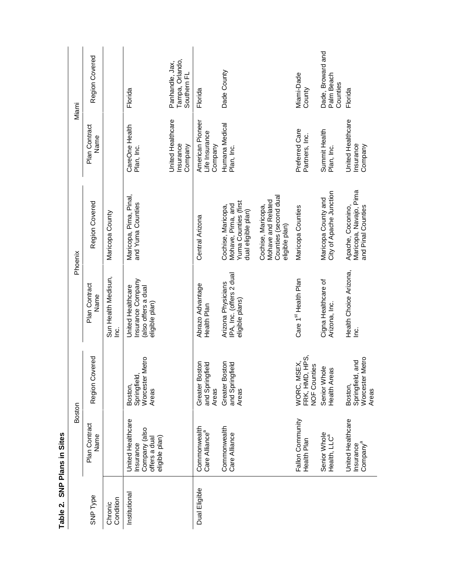|                      | Boston                                                                             |                                                                   |                                                                                | Phoenix                                                                                |                                               | Miami                                             |
|----------------------|------------------------------------------------------------------------------------|-------------------------------------------------------------------|--------------------------------------------------------------------------------|----------------------------------------------------------------------------------------|-----------------------------------------------|---------------------------------------------------|
| <b>SNP Type</b>      | Plan Contract<br>Name                                                              | Region Covered                                                    | Plan Contract<br>Name                                                          | Region Covered                                                                         | Plan Contract<br>Name                         | Region Covered                                    |
| Condition<br>Chronic |                                                                                    |                                                                   | Sun Health Medisun,<br>نع                                                      | Maricopa County                                                                        |                                               |                                                   |
| Institutional        | United Healthcare<br>Company (also<br>eligible plan)<br>offers a dual<br>Insurance | Vletro<br>Worcester I<br>Springfield,<br>Boston,<br>Areas         | Insurance Company<br>United Healthcare<br>also offers a dual<br>eligible plan) | Maricopa, Pima, Pinal,<br>and Yuma Counties                                            | CareOne Health<br>Plan, Inc.                  | Florida                                           |
|                      |                                                                                    |                                                                   |                                                                                |                                                                                        | United Healthcare<br>Insurance<br>Company     | Tampa, Orlando,<br>Panhandle, Jax,<br>Southern FL |
| Dual Eligible        | Commonwealth<br>Care Alliance <sup>a</sup>                                         | <b>Greater Boston</b><br>and Springfield<br>Areas                 | Abrazo Advantage<br>Health Plan                                                | Central Arizona                                                                        | American Pioneer<br>Life Insurance<br>Company | Florida                                           |
|                      | Commonwealth<br>Care Alliance                                                      | Greater Boston<br>and Springfield<br>Areas                        | IPA, Inc. (offers 2 dual<br>Arizona Physicians<br>eligible plans)              | Yuma Counties (first<br>Cochise, Maricopa,<br>Mohave, Pima, and<br>dual eligible plan) | Humana Medical<br>Plan, Inc.                  | Dade County                                       |
|                      |                                                                                    |                                                                   |                                                                                | Counties (second dual<br>Mohave and Related<br>Cochise, Maricopa,<br>eligible plan)    |                                               |                                                   |
|                      | Fallon Community<br>Health Plan                                                    | WORC, MSEX,<br>FRK. HMD, HPS,<br>es<br>FRK, HMD, I<br>NOF Countie | Care 1 <sup>st</sup> Health Plan                                               | Maricopa Counties                                                                      | Preferred Care<br>Partners, Inc.              | Miami-Dade<br>County                              |
|                      | Senior Whole<br>Health, LLC <sup>a</sup>                                           | $\stackrel{\circ}{=}$<br>ဖ<br>Senior Who<br>Health Area           | Cigna Healthcare of<br>Arizona, Inc.                                           | City of Apache Junction<br>Maricopa County and                                         | Summit Health<br>Plan, Inc.                   | Dade, Broward and<br>Palm Beach<br>Counties       |
|                      | United Healthcare<br>Insurance<br>Company <sup>a</sup>                             | Vletro<br>and<br>Worcester I<br>Springfield<br>Boston,<br>Areas   | Health Choice Arizona,<br>ن<br>ا                                               | Maricopa, Navajo, Pima<br>Apache, Coconino,<br>and Pinal Counties                      | United Healthcare<br>Insurance<br>Company     | Florida                                           |

Table 2. SNP Plans in Sites **Table 2. SNP Plans in Sites**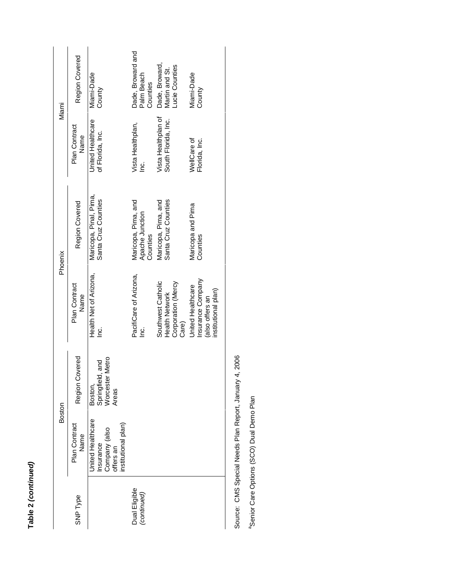| l |
|---|
|   |
|   |
|   |
|   |
|   |
|   |
|   |
|   |
|   |
| с |
|   |
| t |
|   |
|   |
|   |
|   |
|   |
|   |
| ı |

| Miami   | Region Covered        | Miami-Dade<br>County                                                                       | Dade, Broward and<br>Palm Beach<br>Counties        | Dade, Broward,<br>Lucie Counties<br>Martin and St.                         | Miami-Dade<br>County                                                             |
|---------|-----------------------|--------------------------------------------------------------------------------------------|----------------------------------------------------|----------------------------------------------------------------------------|----------------------------------------------------------------------------------|
|         | Plan Contract<br>Name | <b>United Healthcare</b><br>of Florida, Inc.                                               | Vista Healthplan,<br><u>ic</u>                     | Vista Healthplan of<br>South Florida, Inc.                                 | WellCare of<br>Florida, Inc.                                                     |
| Phoenix | Region Covered        | Maricopa, Pinal, Pima,<br>Santa Cruz Counties                                              | Maricopa, Pima, and<br>Apache Junction<br>Counties | Santa Cruz Counties<br>Maricopa, Pima, and                                 | Maricopa and Pima<br>Counties                                                    |
|         | Plan Contract<br>Name | Health Net of Arizona,<br><u>ن</u><br>آ                                                    | PacifiCare of Arizona,<br><u>is</u>                | Southwest Catholic<br>Corporation (Mercy<br><b>Health Network</b><br>Care) | Insurance Company<br>United Healthcare<br>institutional plan)<br>(also offers an |
|         | Region Covered        | Metro<br>and<br>Springfield,<br>Worcester N<br>Boston,<br>Areas                            |                                                    |                                                                            |                                                                                  |
| Boston  | Plan Contract<br>Name | <b>Jnited Healthcare</b><br>institutional plan)<br>Insurance<br>Company (also<br>offers an |                                                    |                                                                            |                                                                                  |
|         | <b>SNP Type</b>       |                                                                                            | Dual Eligible<br>(continued)                       |                                                                            |                                                                                  |

Source: CMS Special Needs Plan Report, January 4, 2006 Source: CMS Special Needs Plan Report, January 4, 2006

<sup>a</sup>Senior Care Options (SCO) Dual Demo Plan <sup>a</sup>Senior Care Options (SCO) Dual Demo Plan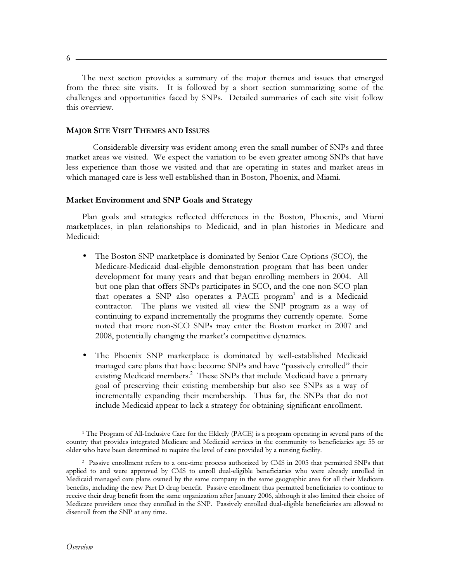$6 -$ 

The next section provides a summary of the major themes and issues that emerged from the three site visits. It is followed by a short section summarizing some of the challenges and opportunities faced by SNPs. Detailed summaries of each site visit follow this overview.

#### **MAJOR SITE VISIT THEMES AND ISSUES**

Considerable diversity was evident among even the small number of SNPs and three market areas we visited. We expect the variation to be even greater among SNPs that have less experience than those we visited and that are operating in states and market areas in which managed care is less well established than in Boston, Phoenix, and Miami.

# Market Environment and SNP Goals and Strategy

Plan goals and strategies reflected differences in the Boston, Phoenix, and Miami marketplaces, in plan relationships to Medicaid, and in plan histories in Medicare and Medicaid:

- The Boston SNP marketplace is dominated by Senior Care Options (SCO), the  $\bullet$ Medicare-Medicaid dual-eligible demonstration program that has been under development for many years and that began enrolling members in 2004. All but one plan that offers SNPs participates in SCO, and the one non-SCO plan that operates a SNP also operates a PACE program<sup>1</sup> and is a Medicaid contractor. The plans we visited all view the SNP program as a way of continuing to expand incrementally the programs they currently operate. Some noted that more non-SCO SNPs may enter the Boston market in 2007 and 2008, potentially changing the market's competitive dynamics.
- The Phoenix SNP marketplace is dominated by well-established Medicaid  $\bullet$ managed care plans that have become SNPs and have "passively enrolled" their existing Medicaid members.<sup>2</sup> These SNPs that include Medicaid have a primary goal of preserving their existing membership but also see SNPs as a way of incrementally expanding their membership. Thus far, the SNPs that do not include Medicaid appear to lack a strategy for obtaining significant enrollment.

<sup>&</sup>lt;sup>1</sup> The Program of All-Inclusive Care for the Elderly (PACE) is a program operating in several parts of the country that provides integrated Medicare and Medicaid services in the community to beneficiaries age 55 or older who have been determined to require the level of care provided by a nursing facility.

<sup>&</sup>lt;sup>2</sup> Passive enrollment refers to a one-time process authorized by CMS in 2005 that permitted SNPs that applied to and were approved by CMS to enroll dual-eligible beneficiaries who were already enrolled in Medicaid managed care plans owned by the same company in the same geographic area for all their Medicare benefits, including the new Part D drug benefit. Passive enrollment thus permitted beneficiaries to continue to receive their drug benefit from the same organization after January 2006, although it also limited their choice of Medicare providers once they enrolled in the SNP. Passively enrolled dual-eligible beneficiaries are allowed to disenroll from the SNP at any time.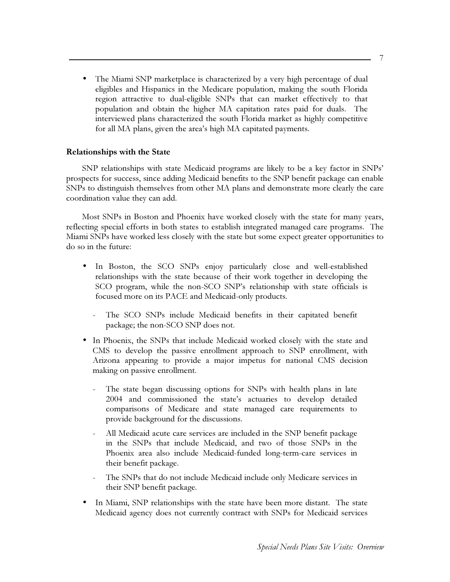The Miami SNP marketplace is characterized by a very high percentage of dual eligibles and Hispanics in the Medicare population, making the south Florida region attractive to dual-eligible SNPs that can market effectively to that population and obtain the higher MA capitation rates paid for duals. The interviewed plans characterized the south Florida market as highly competitive for all MA plans, given the area's high MA capitated payments.

# **Relationships with the State**

SNP relationships with state Medicaid programs are likely to be a key factor in SNPs' prospects for success, since adding Medicaid benefits to the SNP benefit package can enable SNPs to distinguish themselves from other MA plans and demonstrate more clearly the care coordination value they can add.

Most SNPs in Boston and Phoenix have worked closely with the state for many years, reflecting special efforts in both states to establish integrated managed care programs. The Miami SNPs have worked less closely with the state but some expect greater opportunities to do so in the future:

- In Boston, the SCO SNPs enjoy particularly close and well-established  $\bullet$ relationships with the state because of their work together in developing the SCO program, while the non-SCO SNP's relationship with state officials is focused more on its PACE and Medicaid-only products.
	- The SCO SNPs include Medicaid benefits in their capitated benefit package; the non-SCO SNP does not.
- In Phoenix, the SNPs that include Medicaid worked closely with the state and CMS to develop the passive enrollment approach to SNP enrollment, with Arizona appearing to provide a major impetus for national CMS decision making on passive enrollment.
	- The state began discussing options for SNPs with health plans in late 2004 and commissioned the state's actuaries to develop detailed comparisons of Medicare and state managed care requirements to provide background for the discussions.
	- All Medicaid acute care services are included in the SNP benefit package in the SNPs that include Medicaid, and two of those SNPs in the Phoenix area also include Medicaid-funded long-term-care services in their benefit package.
	- The SNPs that do not include Medicaid include only Medicare services in their SNP benefit package.
- In Miami, SNP relationships with the state have been more distant. The state Medicaid agency does not currently contract with SNPs for Medicaid services

7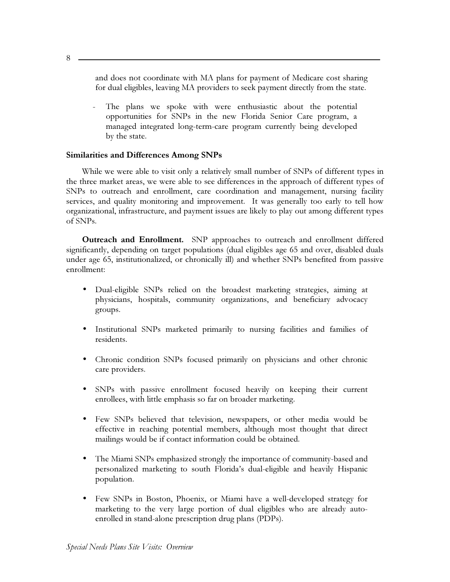and does not coordinate with MA plans for payment of Medicare cost sharing for dual eligibles, leaving MA providers to seek payment directly from the state.

The plans we spoke with were enthusiastic about the potential opportunities for SNPs in the new Florida Senior Care program, a managed integrated long-term-care program currently being developed by the state.

# **Similarities and Differences Among SNPs**

While we were able to visit only a relatively small number of SNPs of different types in the three market areas, we were able to see differences in the approach of different types of SNPs to outreach and enrollment, care coordination and management, nursing facility services, and quality monitoring and improvement. It was generally too early to tell how organizational, infrastructure, and payment issues are likely to play out among different types of SNPs.

Outreach and Enrollment. SNP approaches to outreach and enrollment differed significantly, depending on target populations (dual eligibles age 65 and over, disabled duals under age 65, institutionalized, or chronically ill) and whether SNPs benefited from passive enrollment:

- Dual-eligible SNPs relied on the broadest marketing strategies, aiming at physicians, hospitals, community organizations, and beneficiary advocacy groups.
- Institutional SNPs marketed primarily to nursing facilities and families of  $\bullet$ residents.
- Chronic condition SNPs focused primarily on physicians and other chronic  $\bullet$ care providers.
- SNPs with passive enrollment focused heavily on keeping their current  $\bullet$ enrollees, with little emphasis so far on broader marketing.
- $\bullet$ Few SNPs believed that television, newspapers, or other media would be effective in reaching potential members, although most thought that direct mailings would be if contact information could be obtained.
- $\bullet$ The Miami SNPs emphasized strongly the importance of community-based and personalized marketing to south Florida's dual-eligible and heavily Hispanic population.
- Few SNPs in Boston, Phoenix, or Miami have a well-developed strategy for  $\bullet$ marketing to the very large portion of dual eligibles who are already autoenrolled in stand-alone prescription drug plans (PDPs).

8.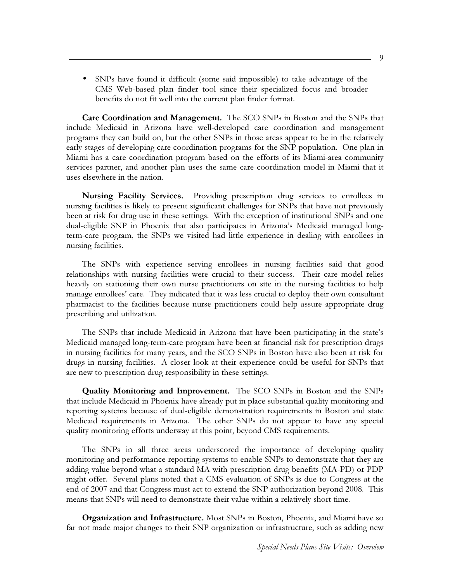$\bullet$ SNPs have found it difficult (some said impossible) to take advantage of the CMS Web-based plan finder tool since their specialized focus and broader benefits do not fit well into the current plan finder format.

Care Coordination and Management. The SCO SNPs in Boston and the SNPs that include Medicaid in Arizona have well-developed care coordination and management programs they can build on, but the other SNPs in those areas appear to be in the relatively early stages of developing care coordination programs for the SNP population. One plan in Miami has a care coordination program based on the efforts of its Miami-area community services partner, and another plan uses the same care coordination model in Miami that it uses elsewhere in the nation.

**Nursing Facility Services.** Providing prescription drug services to enrollees in nursing facilities is likely to present significant challenges for SNPs that have not previously been at risk for drug use in these settings. With the exception of institutional SNPs and one dual-eligible SNP in Phoenix that also participates in Arizona's Medicaid managed longterm-care program, the SNPs we visited had little experience in dealing with enrollees in nursing facilities.

The SNPs with experience serving enrollees in nursing facilities said that good relationships with nursing facilities were crucial to their success. Their care model relies heavily on stationing their own nurse practitioners on site in the nursing facilities to help manage enrollees' care. They indicated that it was less crucial to deploy their own consultant pharmacist to the facilities because nurse practitioners could help assure appropriate drug prescribing and utilization.

The SNPs that include Medicaid in Arizona that have been participating in the state's Medicaid managed long-term-care program have been at financial risk for prescription drugs in nursing facilities for many years, and the SCO SNPs in Boston have also been at risk for drugs in nursing facilities. A closer look at their experience could be useful for SNPs that are new to prescription drug responsibility in these settings.

**Quality Monitoring and Improvement.** The SCO SNPs in Boston and the SNPs that include Medicaid in Phoenix have already put in place substantial quality monitoring and reporting systems because of dual-eligible demonstration requirements in Boston and state Medicaid requirements in Arizona. The other SNPs do not appear to have any special quality monitoring efforts underway at this point, beyond CMS requirements.

The SNPs in all three areas underscored the importance of developing quality monitoring and performance reporting systems to enable SNPs to demonstrate that they are adding value beyond what a standard MA with prescription drug benefits (MA-PD) or PDP might offer. Several plans noted that a CMS evaluation of SNPs is due to Congress at the end of 2007 and that Congress must act to extend the SNP authorization beyond 2008. This means that SNPs will need to demonstrate their value within a relatively short time.

**Organization and Infrastructure.** Most SNPs in Boston, Phoenix, and Miami have so far not made major changes to their SNP organization or infrastructure, such as adding new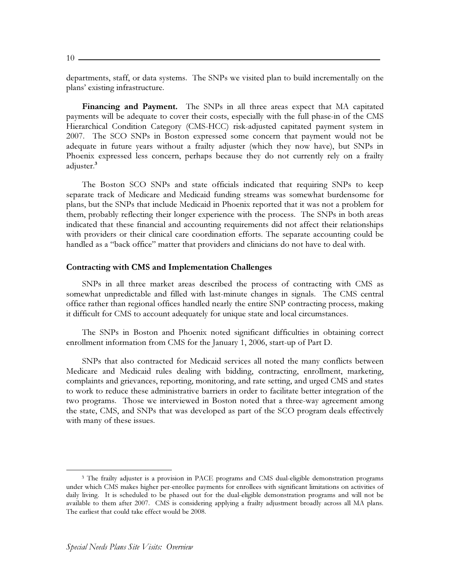departments, staff, or data systems. The SNPs we visited plan to build incrementally on the plans' existing infrastructure.

**Financing and Payment.** The SNPs in all three areas expect that MA capitated payments will be adequate to cover their costs, especially with the full phase-in of the CMS Hierarchical Condition Category (CMS-HCC) risk-adjusted capitated payment system in 2007. The SCO SNPs in Boston expressed some concern that payment would not be adequate in future years without a frailty adjuster (which they now have), but SNPs in Phoenix expressed less concern, perhaps because they do not currently rely on a frailty adjuster.<sup>3</sup>

The Boston SCO SNPs and state officials indicated that requiring SNPs to keep separate track of Medicare and Medicaid funding streams was somewhat burdensome for plans, but the SNPs that include Medicaid in Phoenix reported that it was not a problem for them, probably reflecting their longer experience with the process. The SNPs in both areas indicated that these financial and accounting requirements did not affect their relationships with providers or their clinical care coordination efforts. The separate accounting could be handled as a "back office" matter that providers and clinicians do not have to deal with.

## **Contracting with CMS and Implementation Challenges**

SNPs in all three market areas described the process of contracting with CMS as somewhat unpredictable and filled with last-minute changes in signals. The CMS central office rather than regional offices handled nearly the entire SNP contracting process, making it difficult for CMS to account adequately for unique state and local circumstances.

The SNPs in Boston and Phoenix noted significant difficulties in obtaining correct enrollment information from CMS for the January 1, 2006, start-up of Part D.

SNPs that also contracted for Medicaid services all noted the many conflicts between Medicare and Medicaid rules dealing with bidding, contracting, enrollment, marketing, complaints and grievances, reporting, monitoring, and rate setting, and urged CMS and states to work to reduce these administrative barriers in order to facilitate better integration of the two programs. Those we interviewed in Boston noted that a three-way agreement among the state, CMS, and SNPs that was developed as part of the SCO program deals effectively with many of these issues.

<sup>&</sup>lt;sup>3</sup> The frailty adjuster is a provision in PACE programs and CMS dual-eligible demonstration programs under which CMS makes higher per-enrollee payments for enrollees with significant limitations on activities of daily living. It is scheduled to be phased out for the dual-eligible demonstration programs and will not be available to them after 2007. CMS is considering applying a frailty adjustment broadly across all MA plans. The earliest that could take effect would be 2008.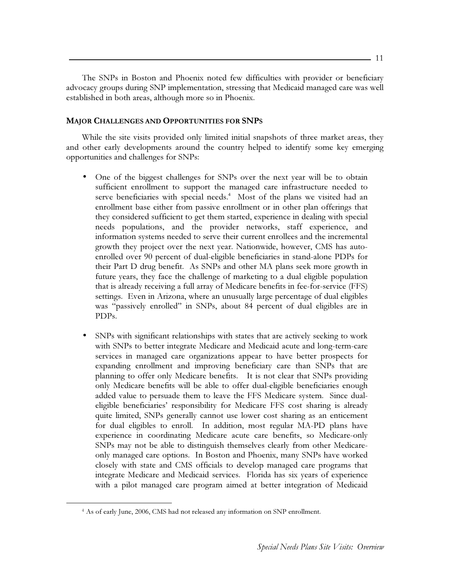The SNPs in Boston and Phoenix noted few difficulties with provider or beneficiary advocacy groups during SNP implementation, stressing that Medicaid managed care was well established in both areas, although more so in Phoenix.

# **MAJOR CHALLENGES AND OPPORTUNITIES FOR SNPS**

While the site visits provided only limited initial snapshots of three market areas, they and other early developments around the country helped to identify some key emerging opportunities and challenges for SNPs:

- One of the biggest challenges for SNPs over the next year will be to obtain sufficient enrollment to support the managed care infrastructure needed to serve beneficiaries with special needs.<sup>4</sup> Most of the plans we visited had an enrollment base either from passive enrollment or in other plan offerings that they considered sufficient to get them started, experience in dealing with special needs populations, and the provider networks, staff experience, and information systems needed to serve their current enrollees and the incremental growth they project over the next year. Nationwide, however, CMS has autoenrolled over 90 percent of dual-eligible beneficiaries in stand-alone PDPs for their Part D drug benefit. As SNPs and other MA plans seek more growth in future years, they face the challenge of marketing to a dual eligible population that is already receiving a full array of Medicare benefits in fee-for-service (FFS) settings. Even in Arizona, where an unusually large percentage of dual eligibles was "passively enrolled" in SNPs, about 84 percent of dual eligibles are in PDP<sub>s</sub>.
- SNPs with significant relationships with states that are actively seeking to work with SNPs to better integrate Medicare and Medicaid acute and long-term-care services in managed care organizations appear to have better prospects for expanding enrollment and improving beneficiary care than SNPs that are planning to offer only Medicare benefits. It is not clear that SNPs providing only Medicare benefits will be able to offer dual-eligible beneficiaries enough added value to persuade them to leave the FFS Medicare system. Since dualeligible beneficiaries' responsibility for Medicare FFS cost sharing is already quite limited, SNPs generally cannot use lower cost sharing as an enticement for dual eligibles to enroll. In addition, most regular MA-PD plans have experience in coordinating Medicare acute care benefits, so Medicare-only SNPs may not be able to distinguish themselves clearly from other Medicareonly managed care options. In Boston and Phoenix, many SNPs have worked closely with state and CMS officials to develop managed care programs that integrate Medicare and Medicaid services. Florida has six years of experience with a pilot managed care program aimed at better integration of Medicaid

<sup>&</sup>lt;sup>4</sup> As of early June, 2006, CMS had not released any information on SNP enrollment.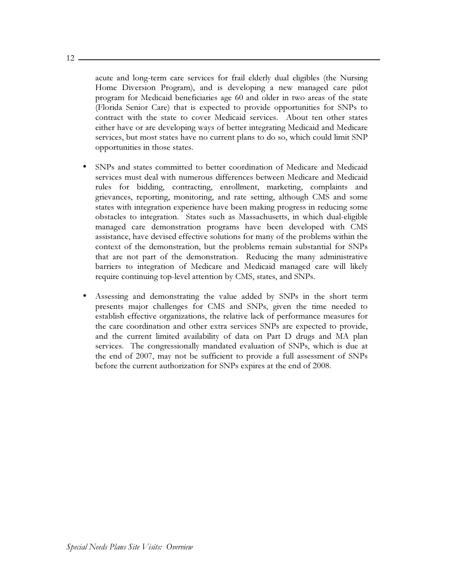acute and long-term care services for frail elderly dual eligibles (the Nursing Home Diversion Program), and is developing a new managed care pilot program for Medicaid beneficiaries age 60 and older in two areas of the state (Florida Senior Care) that is expected to provide opportunities for SNPs to contract with the state to cover Medicaid services. About ten other states either have or are developing ways of better integrating Medicaid and Medicare services, but most states have no current plans to do so, which could limit SNP opportunities in those states.

- SNPs and states committed to better coordination of Medicare and Medicaid services must deal with numerous differences between Medicare and Medicaid rules for bidding, contracting, enrollment, marketing, complaints and grievances, reporting, monitoring, and rate setting, although CMS and some states with integration experience have been making progress in reducing some obstacles to integration. States such as Massachusetts, in which dual-eligible managed care demonstration programs have been developed with CMS assistance, have devised effective solutions for many of the problems within the context of the demonstration, but the problems remain substantial for SNPs that are not part of the demonstration. Reducing the many administrative barriers to integration of Medicare and Medicaid managed care will likely require continuing top-level attention by CMS, states, and SNPs.
- Assessing and demonstrating the value added by SNPs in the short term presents major challenges for CMS and SNPs, given the time needed to establish effective organizations, the relative lack of performance measures for the care coordination and other extra services SNPs are expected to provide, and the current limited availability of data on Part D drugs and MA plan services. The congressionally mandated evaluation of SNPs, which is due at the end of 2007, may not be sufficient to provide a full assessment of SNPs before the current authorization for SNPs expires at the end of 2008.

 $12 -$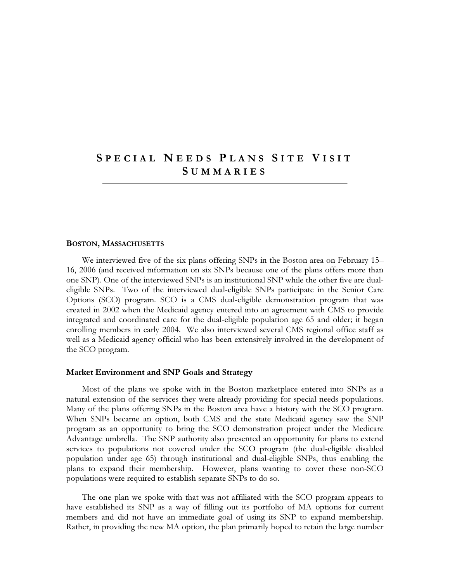# SPECIAL NEEDS PLANS SITE VISIT **SUMMARIES**

#### **BOSTON, MASSACHUSETTS**

We interviewed five of the six plans offering SNPs in the Boston area on February 15– 16, 2006 (and received information on six SNPs because one of the plans offers more than one SNP). One of the interviewed SNPs is an institutional SNP while the other five are dualeligible SNPs. Two of the interviewed dual-eligible SNPs participate in the Senior Care Options (SCO) program. SCO is a CMS dual-eligible demonstration program that was created in 2002 when the Medicaid agency entered into an agreement with CMS to provide integrated and coordinated care for the dual-eligible population age 65 and older; it began enrolling members in early 2004. We also interviewed several CMS regional office staff as well as a Medicaid agency official who has been extensively involved in the development of the SCO program.

#### Market Environment and SNP Goals and Strategy

Most of the plans we spoke with in the Boston marketplace entered into SNPs as a natural extension of the services they were already providing for special needs populations. Many of the plans offering SNPs in the Boston area have a history with the SCO program. When SNPs became an option, both CMS and the state Medicaid agency saw the SNP program as an opportunity to bring the SCO demonstration project under the Medicare Advantage umbrella. The SNP authority also presented an opportunity for plans to extend services to populations not covered under the SCO program (the dual-eligible disabled population under age 65) through institutional and dual-eligible SNPs, thus enabling the plans to expand their membership. However, plans wanting to cover these non-SCO populations were required to establish separate SNPs to do so.

The one plan we spoke with that was not affiliated with the SCO program appears to have established its SNP as a way of filling out its portfolio of MA options for current members and did not have an immediate goal of using its SNP to expand membership. Rather, in providing the new MA option, the plan primarily hoped to retain the large number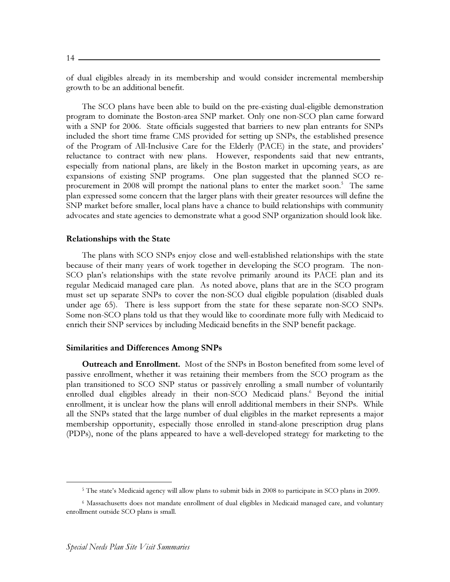of dual eligibles already in its membership and would consider incremental membership growth to be an additional benefit.

The SCO plans have been able to build on the pre-existing dual-eligible demonstration program to dominate the Boston-area SNP market. Only one non-SCO plan came forward with a SNP for 2006. State officials suggested that barriers to new plan entrants for SNPs included the short time frame CMS provided for setting up SNPs, the established presence of the Program of All-Inclusive Care for the Elderly (PACE) in the state, and providers' reluctance to contract with new plans. However, respondents said that new entrants, especially from national plans, are likely in the Boston market in upcoming years, as are expansions of existing SNP programs. One plan suggested that the planned SCO reprocurement in 2008 will prompt the national plans to enter the market soon.<sup>5</sup> The same plan expressed some concern that the larger plans with their greater resources will define the SNP market before smaller, local plans have a chance to build relationships with community advocates and state agencies to demonstrate what a good SNP organization should look like.

#### **Relationships with the State**

The plans with SCO SNPs enjoy close and well-established relationships with the state because of their many years of work together in developing the SCO program. The non-SCO plan's relationships with the state revolve primarily around its PACE plan and its regular Medicaid managed care plan. As noted above, plans that are in the SCO program must set up separate SNPs to cover the non-SCO dual eligible population (disabled duals under age 65). There is less support from the state for these separate non-SCO SNPs. Some non-SCO plans told us that they would like to coordinate more fully with Medicaid to enrich their SNP services by including Medicaid benefits in the SNP benefit package.

#### **Similarities and Differences Among SNPs**

**Outreach and Enrollment.** Most of the SNPs in Boston benefited from some level of passive enrollment, whether it was retaining their members from the SCO program as the plan transitioned to SCO SNP status or passively enrolling a small number of voluntarily enrolled dual eligibles already in their non-SCO Medicaid plans. Beyond the initial enrollment, it is unclear how the plans will enroll additional members in their SNPs. While all the SNPs stated that the large number of dual eligibles in the market represents a major membership opportunity, especially those enrolled in stand-alone prescription drug plans (PDPs), none of the plans appeared to have a well-developed strategy for marketing to the

<sup>&</sup>lt;sup>5</sup> The state's Medicaid agency will allow plans to submit bids in 2008 to participate in SCO plans in 2009.

<sup>&</sup>lt;sup>6</sup> Massachusetts does not mandate enrollment of dual eligibles in Medicaid managed care, and voluntary enrollment outside SCO plans is small.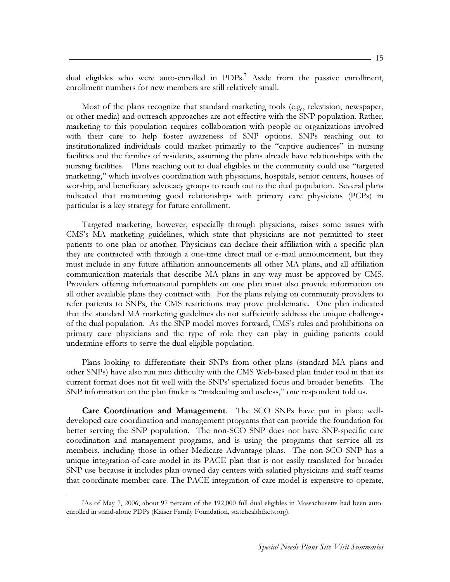dual eligibles who were auto-enrolled in PDPs.<sup>7</sup> Aside from the passive enrollment, enrollment numbers for new members are still relatively small.

Most of the plans recognize that standard marketing tools (e.g., television, newspaper, or other media) and outreach approaches are not effective with the SNP population. Rather, marketing to this population requires collaboration with people or organizations involved with their care to help foster awareness of SNP options. SNPs reaching out to institutionalized individuals could market primarily to the "captive audiences" in nursing facilities and the families of residents, assuming the plans already have relationships with the nursing facilities. Plans reaching out to dual eligibles in the community could use "targeted" marketing," which involves coordination with physicians, hospitals, senior centers, houses of worship, and beneficiary advocacy groups to reach out to the dual population. Several plans indicated that maintaining good relationships with primary care physicians (PCPs) in particular is a key strategy for future enrollment.

Targeted marketing, however, especially through physicians, raises some issues with CMS's MA marketing guidelines, which state that physicians are not permitted to steer patients to one plan or another. Physicians can declare their affiliation with a specific plan they are contracted with through a one-time direct mail or e-mail announcement, but they must include in any future affiliation announcements all other MA plans, and all affiliation communication materials that describe MA plans in any way must be approved by CMS. Providers offering informational pamphlets on one plan must also provide information on all other available plans they contract with. For the plans relying on community providers to refer patients to SNPs, the CMS restrictions may prove problematic. One plan indicated that the standard MA marketing guidelines do not sufficiently address the unique challenges of the dual population. As the SNP model moves forward, CMS's rules and prohibitions on primary care physicians and the type of role they can play in guiding patients could undermine efforts to serve the dual-eligible population.

Plans looking to differentiate their SNPs from other plans (standard MA plans and other SNPs) have also run into difficulty with the CMS Web-based plan finder tool in that its current format does not fit well with the SNPs' specialized focus and broader benefits. The SNP information on the plan finder is "misleading and useless," one respondent told us.

**Care Coordination and Management**. The SCO SNPs have put in place welldeveloped care coordination and management programs that can provide the foundation for better serving the SNP population. The non-SCO SNP does not have SNP-specific care coordination and management programs, and is using the programs that service all its members, including those in other Medicare Advantage plans. The non-SCO SNP has a unique integration-of-care model in its PACE plan that is not easily translated for broader SNP use because it includes plan-owned day centers with salaried physicians and staff teams that coordinate member care. The PACE integration-of-care model is expensive to operate,

<sup>7</sup>As of May 7, 2006, about 97 percent of the 192,000 full dual eligibles in Massachusetts had been autoenrolled in stand-alone PDPs (Kaiser Family Foundation, statehealthfacts.org).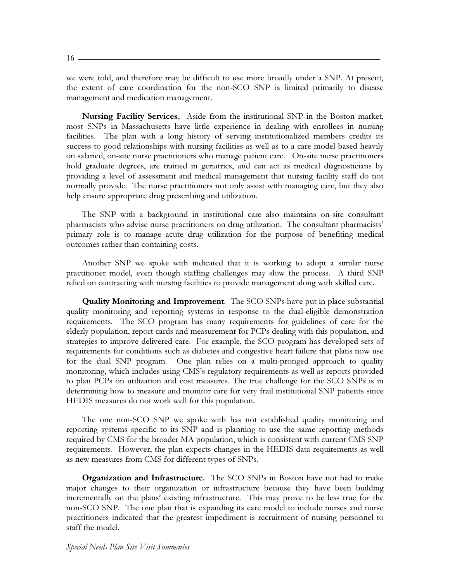$16 -$ 

we were told, and therefore may be difficult to use more broadly under a SNP. At present, the extent of care coordination for the non-SCO SNP is limited primarily to disease management and medication management.

Nursing Facility Services. Aside from the institutional SNP in the Boston market, most SNPs in Massachusetts have little experience in dealing with enrollees in nursing facilities. The plan with a long history of serving institutionalized members credits its success to good relationships with nursing facilities as well as to a care model based heavily on salaried, on-site nurse practitioners who manage patient care. On-site nurse practitioners hold graduate degrees, are trained in geriatrics, and can act as medical diagnosticians by providing a level of assessment and medical management that nursing facility staff do not normally provide. The nurse practitioners not only assist with managing care, but they also help ensure appropriate drug prescribing and utilization.

The SNP with a background in institutional care also maintains on-site consultant pharmacists who advise nurse practitioners on drug utilization. The consultant pharmacists' primary role is to manage acute drug utilization for the purpose of benefiting medical outcomes rather than containing costs.

Another SNP we spoke with indicated that it is working to adopt a similar nurse practitioner model, even though staffing challenges may slow the process. A third SNP relied on contracting with nursing facilities to provide management along with skilled care.

**Quality Monitoring and Improvement**. The SCO SNPs have put in place substantial quality monitoring and reporting systems in response to the dual-eligible demonstration requirements. The SCO program has many requirements for guidelines of care for the elderly population, report cards and measurement for PCPs dealing with this population, and strategies to improve delivered care. For example, the SCO program has developed sets of requirements for conditions such as diabetes and congestive heart failure that plans now use for the dual SNP program. One plan relies on a multi-pronged approach to quality monitoring, which includes using CMS's regulatory requirements as well as reports provided to plan PCPs on utilization and cost measures. The true challenge for the SCO SNPs is in determining how to measure and monitor care for very frail institutional SNP patients since HEDIS measures do not work well for this population.

The one non-SCO SNP we spoke with has not established quality monitoring and reporting systems specific to its SNP and is planning to use the same reporting methods required by CMS for the broader MA population, which is consistent with current CMS SNP requirements. However, the plan expects changes in the HEDIS data requirements as well as new measures from CMS for different types of SNPs.

**Organization and Infrastructure.** The SCO SNPs in Boston have not had to make major changes to their organization or infrastructure because they have been building incrementally on the plans' existing infrastructure. This may prove to be less true for the non-SCO SNP. The one plan that is expanding its care model to include nurses and nurse practitioners indicated that the greatest impediment is recruitment of nursing personnel to staff the model.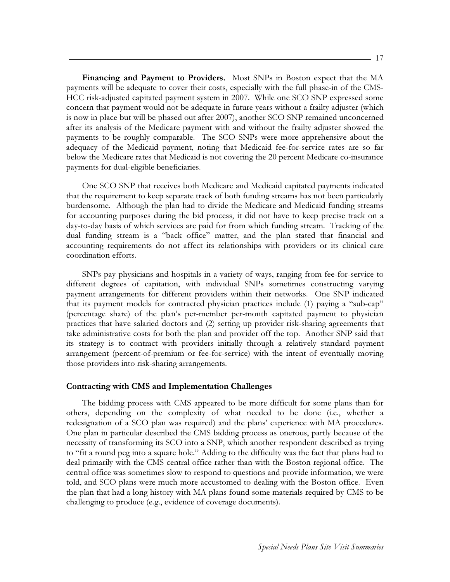**Financing and Payment to Providers.** Most SNPs in Boston expect that the MA payments will be adequate to cover their costs, especially with the full phase-in of the CMS-HCC risk-adjusted capitated payment system in 2007. While one SCO SNP expressed some concern that payment would not be adequate in future years without a frailty adjuster (which is now in place but will be phased out after 2007), another SCO SNP remained unconcerned after its analysis of the Medicare payment with and without the frailty adjuster showed the payments to be roughly comparable. The SCO SNPs were more apprehensive about the adequacy of the Medicaid payment, noting that Medicaid fee-for-service rates are so far below the Medicare rates that Medicaid is not covering the 20 percent Medicare co-insurance payments for dual-eligible beneficiaries.

One SCO SNP that receives both Medicare and Medicaid capitated payments indicated that the requirement to keep separate track of both funding streams has not been particularly burdensome. Although the plan had to divide the Medicare and Medicaid funding streams for accounting purposes during the bid process, it did not have to keep precise track on a day-to-day basis of which services are paid for from which funding stream. Tracking of the dual funding stream is a "back office" matter, and the plan stated that financial and accounting requirements do not affect its relationships with providers or its clinical care coordination efforts.

SNPs pay physicians and hospitals in a variety of ways, ranging from fee-for-service to different degrees of capitation, with individual SNPs sometimes constructing varying payment arrangements for different providers within their networks. One SNP indicated that its payment models for contracted physician practices include (1) paying a "sub-cap" (percentage share) of the plan's per-member per-month capitated payment to physician practices that have salaried doctors and (2) setting up provider risk-sharing agreements that take administrative costs for both the plan and provider off the top. Another SNP said that its strategy is to contract with providers initially through a relatively standard payment arrangement (percent-of-premium or fee-for-service) with the intent of eventually moving those providers into risk-sharing arrangements.

## **Contracting with CMS and Implementation Challenges**

The bidding process with CMS appeared to be more difficult for some plans than for others, depending on the complexity of what needed to be done (i.e., whether a redesignation of a SCO plan was required) and the plans' experience with MA procedures. One plan in particular described the CMS bidding process as onerous, partly because of the necessity of transforming its SCO into a SNP, which another respondent described as trying to "fit a round peg into a square hole." Adding to the difficulty was the fact that plans had to deal primarily with the CMS central office rather than with the Boston regional office. The central office was sometimes slow to respond to questions and provide information, we were told, and SCO plans were much more accustomed to dealing with the Boston office. Even the plan that had a long history with MA plans found some materials required by CMS to be challenging to produce (e.g., evidence of coverage documents).

- 17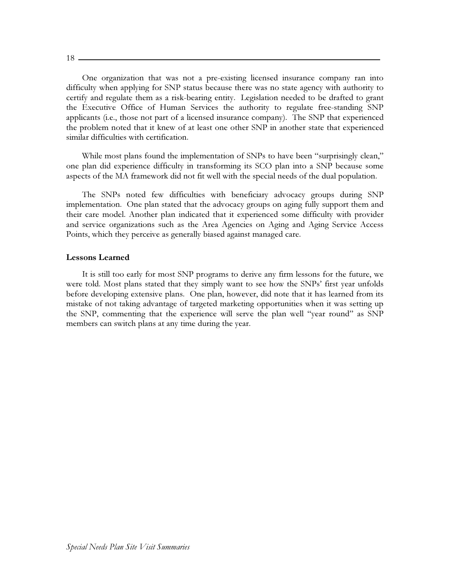$18-$ 

One organization that was not a pre-existing licensed insurance company ran into difficulty when applying for SNP status because there was no state agency with authority to certify and regulate them as a risk-bearing entity. Legislation needed to be drafted to grant the Executive Office of Human Services the authority to regulate free-standing SNP applicants (i.e., those not part of a licensed insurance company). The SNP that experienced the problem noted that it knew of at least one other SNP in another state that experienced similar difficulties with certification.

While most plans found the implementation of SNPs to have been "surprisingly clean," one plan did experience difficulty in transforming its SCO plan into a SNP because some aspects of the MA framework did not fit well with the special needs of the dual population.

The SNPs noted few difficulties with beneficiary advocacy groups during SNP implementation. One plan stated that the advocacy groups on aging fully support them and their care model. Another plan indicated that it experienced some difficulty with provider and service organizations such as the Area Agencies on Aging and Aging Service Access Points, which they perceive as generally biased against managed care.

## **Lessons Learned**

It is still too early for most SNP programs to derive any firm lessons for the future, we were told. Most plans stated that they simply want to see how the SNPs' first year unfolds before developing extensive plans. One plan, however, did note that it has learned from its mistake of not taking advantage of targeted marketing opportunities when it was setting up the SNP, commenting that the experience will serve the plan well "year round" as SNP members can switch plans at any time during the year.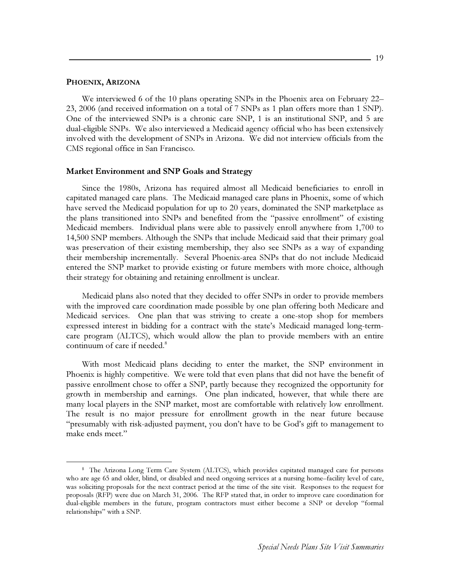#### PHOENIX, ARIZONA

We interviewed 6 of the 10 plans operating SNPs in the Phoenix area on February 22– 23, 2006 (and received information on a total of 7 SNPs as 1 plan offers more than 1 SNP). One of the interviewed SNPs is a chronic care SNP, 1 is an institutional SNP, and 5 are dual-eligible SNPs. We also interviewed a Medicaid agency official who has been extensively involved with the development of SNPs in Arizona. We did not interview officials from the CMS regional office in San Francisco.

#### Market Environment and SNP Goals and Strategy

Since the 1980s, Arizona has required almost all Medicaid beneficiaries to enroll in capitated managed care plans. The Medicaid managed care plans in Phoenix, some of which have served the Medicaid population for up to 20 years, dominated the SNP marketplace as the plans transitioned into SNPs and benefited from the "passive enrollment" of existing Medicaid members. Individual plans were able to passively enroll anywhere from 1,700 to 14,500 SNP members. Although the SNPs that include Medicaid said that their primary goal was preservation of their existing membership, they also see SNPs as a way of expanding their membership incrementally. Several Phoenix-area SNPs that do not include Medicaid entered the SNP market to provide existing or future members with more choice, although their strategy for obtaining and retaining enrollment is unclear.

Medicaid plans also noted that they decided to offer SNPs in order to provide members with the improved care coordination made possible by one plan offering both Medicare and Medicaid services. One plan that was striving to create a one-stop shop for members expressed interest in bidding for a contract with the state's Medicaid managed long-termcare program (ALTCS), which would allow the plan to provide members with an entire continuum of care if needed.<sup>8</sup>

With most Medicaid plans deciding to enter the market, the SNP environment in Phoenix is highly competitive. We were told that even plans that did not have the benefit of passive enrollment chose to offer a SNP, partly because they recognized the opportunity for growth in membership and earnings. One plan indicated, however, that while there are many local players in the SNP market, most are comfortable with relatively low enrollment. The result is no major pressure for enrollment growth in the near future because "presumably with risk-adjusted payment, you don't have to be God's gift to management to make ends meet."

<sup>&</sup>lt;sup>8</sup> The Arizona Long Term Care System (ALTCS), which provides capitated managed care for persons who are age 65 and older, blind, or disabled and need ongoing services at a nursing home-facility level of care, was soliciting proposals for the next contract period at the time of the site visit. Responses to the request for proposals (RFP) were due on March 31, 2006. The RFP stated that, in order to improve care coordination for dual-eligible members in the future, program contractors must either become a SNP or develop "formal relationships" with a SNP.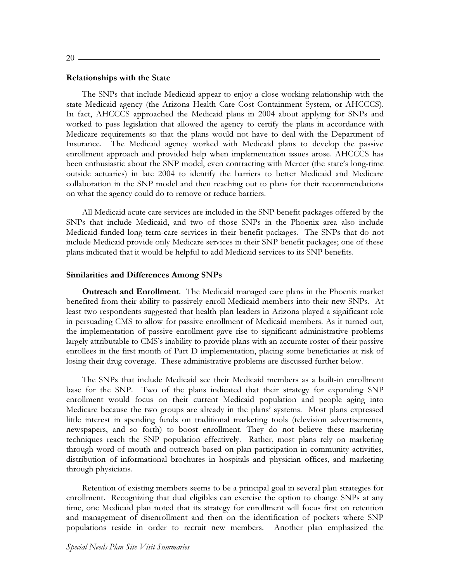$20 -$ 

#### **Relationships with the State**

The SNPs that include Medicaid appear to enjoy a close working relationship with the state Medicaid agency (the Arizona Health Care Cost Containment System, or AHCCCS). In fact, AHCCCS approached the Medicaid plans in 2004 about applying for SNPs and worked to pass legislation that allowed the agency to certify the plans in accordance with Medicare requirements so that the plans would not have to deal with the Department of Insurance. The Medicaid agency worked with Medicaid plans to develop the passive enrollment approach and provided help when implementation issues arose. AHCCCS has been enthusiastic about the SNP model, even contracting with Mercer (the state's long-time outside actuaries) in late 2004 to identify the barriers to better Medicaid and Medicare collaboration in the SNP model and then reaching out to plans for their recommendations on what the agency could do to remove or reduce barriers.

All Medicaid acute care services are included in the SNP benefit packages offered by the SNPs that include Medicaid, and two of those SNPs in the Phoenix area also include Medicaid-funded long-term-care services in their benefit packages. The SNPs that do not include Medicaid provide only Medicare services in their SNP benefit packages; one of these plans indicated that it would be helpful to add Medicaid services to its SNP benefits.

## **Similarities and Differences Among SNPs**

**Outreach and Enrollment**. The Medicaid managed care plans in the Phoenix market benefited from their ability to passively enroll Medicaid members into their new SNPs. At least two respondents suggested that health plan leaders in Arizona played a significant role in persuading CMS to allow for passive enrollment of Medicaid members. As it turned out, the implementation of passive enrollment gave rise to significant administrative problems largely attributable to CMS's inability to provide plans with an accurate roster of their passive enrollees in the first month of Part D implementation, placing some beneficiaries at risk of losing their drug coverage. These administrative problems are discussed further below.

The SNPs that include Medicaid see their Medicaid members as a built-in enrollment base for the SNP. Two of the plans indicated that their strategy for expanding SNP enrollment would focus on their current Medicaid population and people aging into Medicare because the two groups are already in the plans' systems. Most plans expressed little interest in spending funds on traditional marketing tools (television advertisements, newspapers, and so forth) to boost enrollment. They do not believe these marketing techniques reach the SNP population effectively. Rather, most plans rely on marketing through word of mouth and outreach based on plan participation in community activities, distribution of informational brochures in hospitals and physician offices, and marketing through physicians.

Retention of existing members seems to be a principal goal in several plan strategies for enrollment. Recognizing that dual eligibles can exercise the option to change SNPs at any time, one Medicaid plan noted that its strategy for enrollment will focus first on retention and management of disenrollment and then on the identification of pockets where SNP populations reside in order to recruit new members. Another plan emphasized the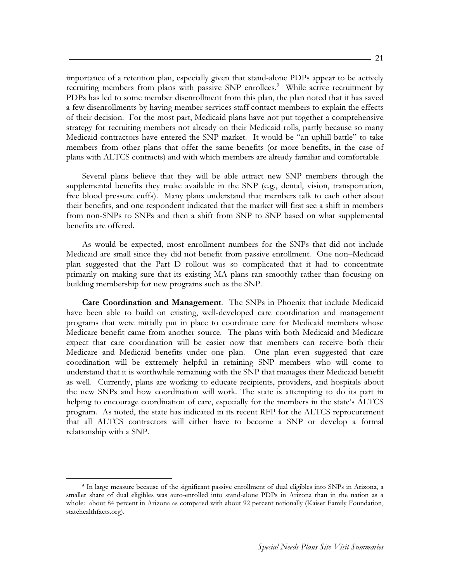importance of a retention plan, especially given that stand-alone PDPs appear to be actively recruiting members from plans with passive SNP enrollees.<sup>9</sup> While active recruitment by PDPs has led to some member disenrollment from this plan, the plan noted that it has saved a few disenrollments by having member services staff contact members to explain the effects of their decision. For the most part, Medicaid plans have not put together a comprehensive strategy for recruiting members not already on their Medicaid rolls, partly because so many Medicaid contractors have entered the SNP market. It would be "an uphill battle" to take members from other plans that offer the same benefits (or more benefits, in the case of plans with ALTCS contracts) and with which members are already familiar and comfortable.

Several plans believe that they will be able attract new SNP members through the supplemental benefits they make available in the SNP (e.g., dental, vision, transportation, free blood pressure cuffs). Many plans understand that members talk to each other about their benefits, and one respondent indicated that the market will first see a shift in members from non-SNPs to SNPs and then a shift from SNP to SNP based on what supplemental benefits are offered.

As would be expected, most enrollment numbers for the SNPs that did not include Medicaid are small since they did not benefit from passive enrollment. One non-Medicaid plan suggested that the Part D rollout was so complicated that it had to concentrate primarily on making sure that its existing MA plans ran smoothly rather than focusing on building membership for new programs such as the SNP.

Care Coordination and Management. The SNPs in Phoenix that include Medicaid have been able to build on existing, well-developed care coordination and management programs that were initially put in place to coordinate care for Medicaid members whose Medicare benefit came from another source. The plans with both Medicaid and Medicare expect that care coordination will be easier now that members can receive both their Medicare and Medicaid benefits under one plan. One plan even suggested that care coordination will be extremely helpful in retaining SNP members who will come to understand that it is worthwhile remaining with the SNP that manages their Medicaid benefit as well. Currently, plans are working to educate recipients, providers, and hospitals about the new SNPs and how coordination will work. The state is attempting to do its part in helping to encourage coordination of care, especially for the members in the state's ALTCS program. As noted, the state has indicated in its recent RFP for the ALTCS reprocurement that all ALTCS contractors will either have to become a SNP or develop a formal relationship with a SNP.

<sup>&</sup>lt;sup>9</sup> In large measure because of the significant passive enrollment of dual eligibles into SNPs in Arizona, a smaller share of dual eligibles was auto-enrolled into stand-alone PDPs in Arizona than in the nation as a whole: about 84 percent in Arizona as compared with about 92 percent nationally (Kaiser Family Foundation, statehealthfacts.org).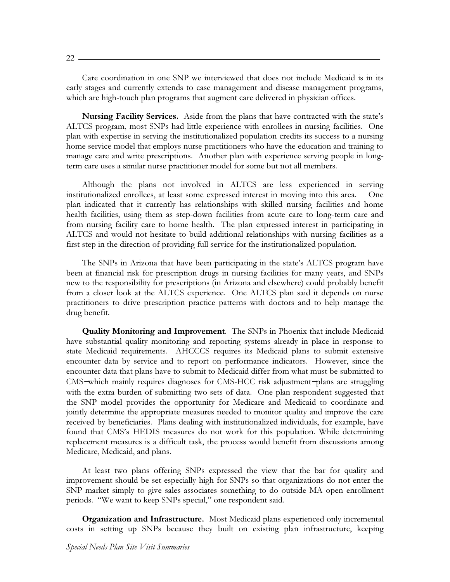Care coordination in one SNP we interviewed that does not include Medicaid is in its early stages and currently extends to case management and disease management programs, which are high-touch plan programs that augment care delivered in physician offices.

Nursing Facility Services. Aside from the plans that have contracted with the state's ALTCS program, most SNPs had little experience with enrollees in nursing facilities. One plan with expertise in serving the institutionalized population credits its success to a nursing home service model that employs nurse practitioners who have the education and training to manage care and write prescriptions. Another plan with experience serving people in longterm care uses a similar nurse practitioner model for some but not all members.

Although the plans not involved in ALTCS are less experienced in serving institutionalized enrollees, at least some expressed interest in moving into this area. One plan indicated that it currently has relationships with skilled nursing facilities and home health facilities, using them as step-down facilities from acute care to long-term care and from nursing facility care to home health. The plan expressed interest in participating in ALTCS and would not hesitate to build additional relationships with nursing facilities as a first step in the direction of providing full service for the institutionalized population.

The SNPs in Arizona that have been participating in the state's ALTCS program have been at financial risk for prescription drugs in nursing facilities for many years, and SNPs new to the responsibility for prescriptions (in Arizona and elsewhere) could probably benefit from a closer look at the ALTCS experience. One ALTCS plan said it depends on nurse practitioners to drive prescription practice patterns with doctors and to help manage the drug benefit.

**Quality Monitoring and Improvement**. The SNPs in Phoenix that include Medicaid have substantial quality monitoring and reporting systems already in place in response to state Medicaid requirements. AHCCCS requires its Medicaid plans to submit extensive encounter data by service and to report on performance indicators. However, since the encounter data that plans have to submit to Medicaid differ from what must be submitted to CMS-which mainly requires diagnoses for CMS-HCC risk adjustment-plans are struggling with the extra burden of submitting two sets of data. One plan respondent suggested that the SNP model provides the opportunity for Medicare and Medicaid to coordinate and jointly determine the appropriate measures needed to monitor quality and improve the care received by beneficiaries. Plans dealing with institutionalized individuals, for example, have found that CMS's HEDIS measures do not work for this population. While determining replacement measures is a difficult task, the process would benefit from discussions among Medicare, Medicaid, and plans.

At least two plans offering SNPs expressed the view that the bar for quality and improvement should be set especially high for SNPs so that organizations do not enter the SNP market simply to give sales associates something to do outside MA open enrollment periods. "We want to keep SNPs special," one respondent said.

Organization and Infrastructure. Most Medicaid plans experienced only incremental costs in setting up SNPs because they built on existing plan infrastructure, keeping

 $22 -$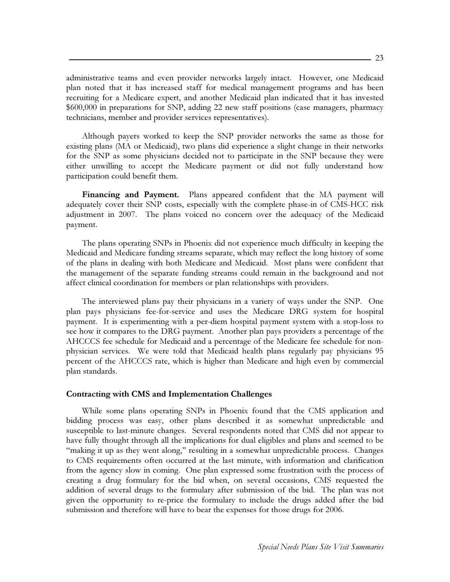administrative teams and even provider networks largely intact. However, one Medicaid plan noted that it has increased staff for medical management programs and has been recruiting for a Medicare expert, and another Medicaid plan indicated that it has invested \$600,000 in preparations for SNP, adding 22 new staff positions (case managers, pharmacy technicians, member and provider services representatives).

Although payers worked to keep the SNP provider networks the same as those for existing plans (MA or Medicaid), two plans did experience a slight change in their networks for the SNP as some physicians decided not to participate in the SNP because they were either unwilling to accept the Medicare payment or did not fully understand how participation could benefit them.

Financing and Payment. Plans appeared confident that the MA payment will adequately cover their SNP costs, especially with the complete phase-in of CMS-HCC risk adjustment in 2007. The plans voiced no concern over the adequacy of the Medicaid payment.

The plans operating SNPs in Phoenix did not experience much difficulty in keeping the Medicaid and Medicare funding streams separate, which may reflect the long history of some of the plans in dealing with both Medicare and Medicaid. Most plans were confident that the management of the separate funding streams could remain in the background and not affect clinical coordination for members or plan relationships with providers.

The interviewed plans pay their physicians in a variety of ways under the SNP. One plan pays physicians fee-for-service and uses the Medicare DRG system for hospital payment. It is experimenting with a per-diem hospital payment system with a stop-loss to see how it compares to the DRG payment. Another plan pays providers a percentage of the AHCCCS fee schedule for Medicaid and a percentage of the Medicare fee schedule for nonphysician services. We were told that Medicaid health plans regularly pay physicians 95 percent of the AHCCCS rate, which is higher than Medicare and high even by commercial plan standards.

#### **Contracting with CMS and Implementation Challenges**

While some plans operating SNPs in Phoenix found that the CMS application and bidding process was easy, other plans described it as somewhat unpredictable and susceptible to last-minute changes. Several respondents noted that CMS did not appear to have fully thought through all the implications for dual eligibles and plans and seemed to be "making it up as they went along," resulting in a somewhat unpredictable process. Changes to CMS requirements often occurred at the last minute, with information and clarification from the agency slow in coming. One plan expressed some frustration with the process of creating a drug formulary for the bid when, on several occasions, CMS requested the addition of several drugs to the formulary after submission of the bid. The plan was not given the opportunity to re-price the formulary to include the drugs added after the bid submission and therefore will have to bear the expenses for those drugs for 2006.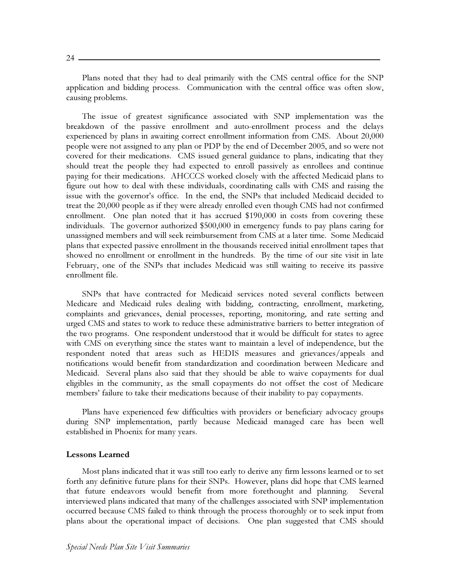Plans noted that they had to deal primarily with the CMS central office for the SNP application and bidding process. Communication with the central office was often slow, causing problems.

The issue of greatest significance associated with SNP implementation was the breakdown of the passive enrollment and auto-enrollment process and the delays experienced by plans in awaiting correct enrollment information from CMS. About 20,000 people were not assigned to any plan or PDP by the end of December 2005, and so were not covered for their medications. CMS issued general guidance to plans, indicating that they should treat the people they had expected to enroll passively as enrollees and continue paying for their medications. AHCCCS worked closely with the affected Medicaid plans to figure out how to deal with these individuals, coordinating calls with CMS and raising the issue with the governor's office. In the end, the SNPs that included Medicaid decided to treat the 20,000 people as if they were already enrolled even though CMS had not confirmed enrollment. One plan noted that it has accrued \$190,000 in costs from covering these individuals. The governor authorized \$500,000 in emergency funds to pay plans caring for unassigned members and will seek reimbursement from CMS at a later time. Some Medicaid plans that expected passive enrollment in the thousands received initial enrollment tapes that showed no enrollment or enrollment in the hundreds. By the time of our site visit in late February, one of the SNPs that includes Medicaid was still waiting to receive its passive enrollment file.

SNPs that have contracted for Medicaid services noted several conflicts between Medicare and Medicaid rules dealing with bidding, contracting, enrollment, marketing, complaints and grievances, denial processes, reporting, monitoring, and rate setting and urged CMS and states to work to reduce these administrative barriers to better integration of the two programs. One respondent understood that it would be difficult for states to agree with CMS on everything since the states want to maintain a level of independence, but the respondent noted that areas such as HEDIS measures and grievances/appeals and notifications would benefit from standardization and coordination between Medicare and Medicaid. Several plans also said that they should be able to waive copayments for dual eligibles in the community, as the small copayments do not offset the cost of Medicare members' failure to take their medications because of their inability to pay copayments.

Plans have experienced few difficulties with providers or beneficiary advocacy groups during SNP implementation, partly because Medicaid managed care has been well established in Phoenix for many years.

#### **Lessons Learned**

Most plans indicated that it was still too early to derive any firm lessons learned or to set forth any definitive future plans for their SNPs. However, plans did hope that CMS learned that future endeavors would benefit from more forethought and planning. Several interviewed plans indicated that many of the challenges associated with SNP implementation occurred because CMS failed to think through the process thoroughly or to seek input from plans about the operational impact of decisions. One plan suggested that CMS should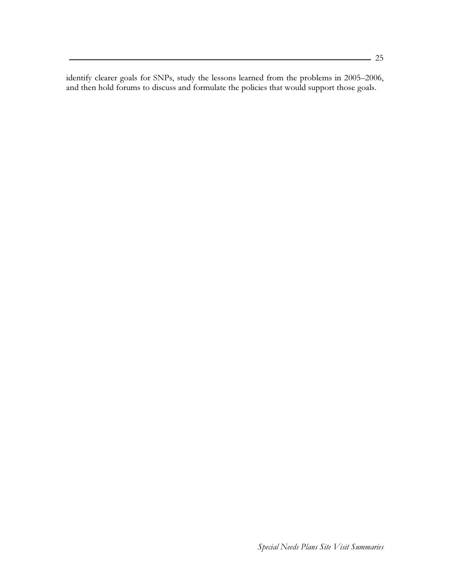identify clearer goals for SNPs, study the lessons learned from the problems in 2005-2006, and then hold forums to discuss and formulate the policies that would support those goals.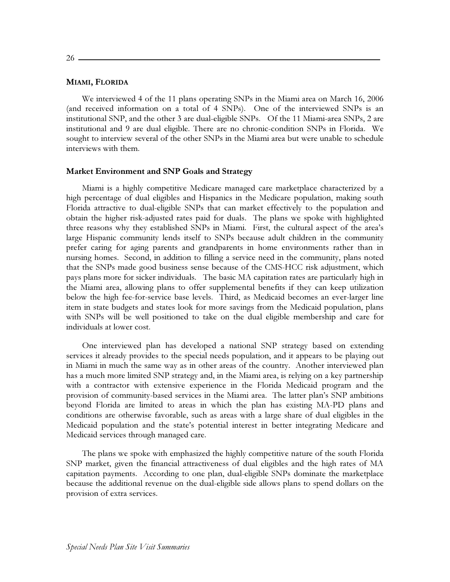$26-$ 

#### MIAMI, FLORIDA

We interviewed 4 of the 11 plans operating SNPs in the Miami area on March 16, 2006 (and received information on a total of 4 SNPs). One of the interviewed SNPs is an institutional SNP, and the other 3 are dual-eligible SNPs. Of the 11 Miami-area SNPs, 2 are institutional and 9 are dual eligible. There are no chronic-condition SNPs in Florida. We sought to interview several of the other SNPs in the Miami area but were unable to schedule interviews with them.

#### Market Environment and SNP Goals and Strategy

Miami is a highly competitive Medicare managed care marketplace characterized by a high percentage of dual eligibles and Hispanics in the Medicare population, making south Florida attractive to dual-eligible SNPs that can market effectively to the population and obtain the higher risk-adjusted rates paid for duals. The plans we spoke with highlighted three reasons why they established SNPs in Miami. First, the cultural aspect of the area's large Hispanic community lends itself to SNPs because adult children in the community prefer caring for aging parents and grandparents in home environments rather than in nursing homes. Second, in addition to filling a service need in the community, plans noted that the SNPs made good business sense because of the CMS-HCC risk adjustment, which pays plans more for sicker individuals. The basic MA capitation rates are particularly high in the Miami area, allowing plans to offer supplemental benefits if they can keep utilization below the high fee-for-service base levels. Third, as Medicaid becomes an ever-larger line item in state budgets and states look for more savings from the Medicaid population, plans with SNPs will be well positioned to take on the dual eligible membership and care for individuals at lower cost.

One interviewed plan has developed a national SNP strategy based on extending services it already provides to the special needs population, and it appears to be playing out in Miami in much the same way as in other areas of the country. Another interviewed plan has a much more limited SNP strategy and, in the Miami area, is relying on a key partnership with a contractor with extensive experience in the Florida Medicaid program and the provision of community-based services in the Miami area. The latter plan's SNP ambitions beyond Florida are limited to areas in which the plan has existing MA-PD plans and conditions are otherwise favorable, such as areas with a large share of dual eligibles in the Medicaid population and the state's potential interest in better integrating Medicare and Medicaid services through managed care.

The plans we spoke with emphasized the highly competitive nature of the south Florida SNP market, given the financial attractiveness of dual eligibles and the high rates of MA capitation payments. According to one plan, dual-eligible SNPs dominate the marketplace because the additional revenue on the dual-eligible side allows plans to spend dollars on the provision of extra services.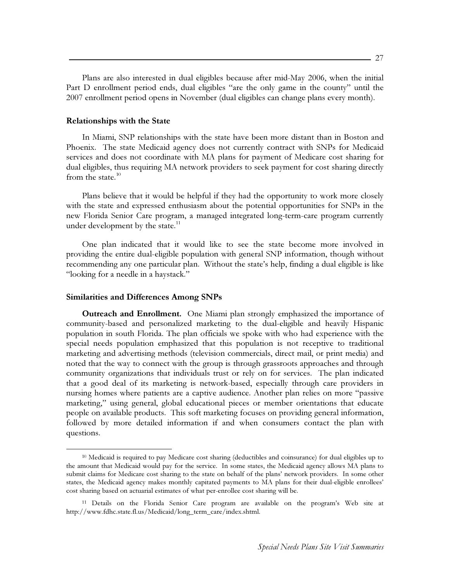Plans are also interested in dual eligibles because after mid-May 2006, when the initial Part D enrollment period ends, dual eligibles "are the only game in the county" until the 2007 enrollment period opens in November (dual eligibles can change plans every month).

# **Relationships with the State**

In Miami, SNP relationships with the state have been more distant than in Boston and Phoenix. The state Medicaid agency does not currently contract with SNPs for Medicaid services and does not coordinate with MA plans for payment of Medicare cost sharing for dual eligibles, thus requiring MA network providers to seek payment for cost sharing directly from the state. $10$ 

Plans believe that it would be helpful if they had the opportunity to work more closely with the state and expressed enthusiasm about the potential opportunities for SNPs in the new Florida Senior Care program, a managed integrated long-term-care program currently under development by the state.<sup>11</sup>

One plan indicated that it would like to see the state become more involved in providing the entire dual-eligible population with general SNP information, though without recommending any one particular plan. Without the state's help, finding a dual eligible is like "looking for a needle in a haystack."

#### **Similarities and Differences Among SNPs**

**Outreach and Enrollment.** One Miami plan strongly emphasized the importance of community-based and personalized marketing to the dual-eligible and heavily Hispanic population in south Florida. The plan officials we spoke with who had experience with the special needs population emphasized that this population is not receptive to traditional marketing and advertising methods (television commercials, direct mail, or print media) and noted that the way to connect with the group is through grassroots approaches and through community organizations that individuals trust or rely on for services. The plan indicated that a good deal of its marketing is network-based, especially through care providers in nursing homes where patients are a captive audience. Another plan relies on more "passive" marketing," using general, global educational pieces or member orientations that educate people on available products. This soft marketing focuses on providing general information, followed by more detailed information if and when consumers contact the plan with questions.

<sup>&</sup>lt;sup>10</sup> Medicaid is required to pay Medicare cost sharing (deductibles and coinsurance) for dual eligibles up to the amount that Medicaid would pay for the service. In some states, the Medicaid agency allows MA plans to submit claims for Medicare cost sharing to the state on behalf of the plans' network providers. In some other states, the Medicaid agency makes monthly capitated payments to MA plans for their dual-eligible enrollees' cost sharing based on actuarial estimates of what per-enrollee cost sharing will be.

<sup>&</sup>lt;sup>11</sup> Details on the Florida Senior Care program are available on the program's Web site at http://www.fdhc.state.fl.us/Medicaid/long\_term\_care/index.shtml.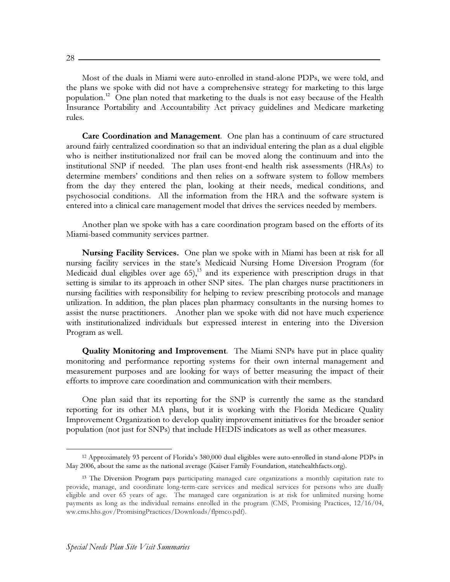$28 -$ 

Most of the duals in Miami were auto-enrolled in stand-alone PDPs, we were told, and the plans we spoke with did not have a comprehensive strategy for marketing to this large population.<sup>12</sup> One plan noted that marketing to the duals is not easy because of the Health Insurance Portability and Accountability Act privacy guidelines and Medicare marketing rules.

**Care Coordination and Management.** One plan has a continuum of care structured around fairly centralized coordination so that an individual entering the plan as a dual eligible who is neither institutionalized nor frail can be moved along the continuum and into the institutional SNP if needed. The plan uses front-end health risk assessments (HRAs) to determine members' conditions and then relies on a software system to follow members from the day they entered the plan, looking at their needs, medical conditions, and psychosocial conditions. All the information from the HRA and the software system is entered into a clinical care management model that drives the services needed by members.

Another plan we spoke with has a care coordination program based on the efforts of its Miami-based community services partner.

**Nursing Facility Services.** One plan we spoke with in Miami has been at risk for all nursing facility services in the state's Medicaid Nursing Home Diversion Program (for Medicaid dual eligibles over age 65),<sup>13</sup> and its experience with prescription drugs in that setting is similar to its approach in other SNP sites. The plan charges nurse practitioners in nursing facilities with responsibility for helping to review prescribing protocols and manage utilization. In addition, the plan places plan pharmacy consultants in the nursing homes to assist the nurse practitioners. Another plan we spoke with did not have much experience with institutionalized individuals but expressed interest in entering into the Diversion Program as well.

**Quality Monitoring and Improvement**. The Miami SNPs have put in place quality monitoring and performance reporting systems for their own internal management and measurement purposes and are looking for ways of better measuring the impact of their efforts to improve care coordination and communication with their members.

One plan said that its reporting for the SNP is currently the same as the standard reporting for its other MA plans, but it is working with the Florida Medicare Quality Improvement Organization to develop quality improvement initiatives for the broader senior population (not just for SNPs) that include HEDIS indicators as well as other measures.

<sup>&</sup>lt;sup>12</sup> Approximately 93 percent of Florida's 380,000 dual eligibles were auto-enrolled in stand-alone PDPs in May 2006, about the same as the national average (Kaiser Family Foundation, statehealthfacts.org).

<sup>&</sup>lt;sup>13</sup> The Diversion Program pays participating managed care organizations a monthly capitation rate to provide, manage, and coordinate long-term-care services and medical services for persons who are dually eligible and over 65 years of age. The managed care organization is at risk for unlimited nursing home payments as long as the individual remains enrolled in the program (CMS, Promising Practices, 12/16/04, ww.cms.hhs.gov/PromisingPractices/Downloads/flpmco.pdf).